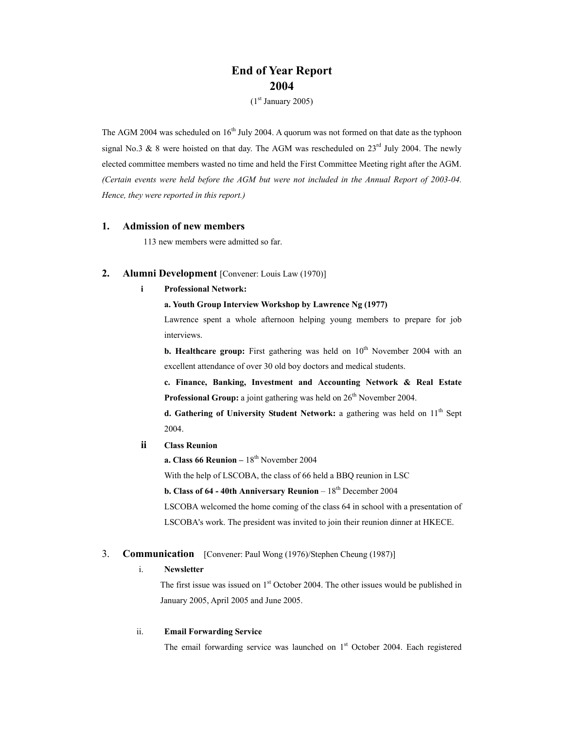# **End of Year Report 2004**

 $(1<sup>st</sup> January 2005)$ 

The AGM 2004 was scheduled on  $16<sup>th</sup>$  July 2004. A quorum was not formed on that date as the typhoon signal No.3 & 8 were hoisted on that day. The AGM was rescheduled on  $23^{\text{rd}}$  July 2004. The newly elected committee members wasted no time and held the First Committee Meeting right after the AGM. *(Certain events were held before the AGM but were not included in the Annual Report of 2003-04. Hence, they were reported in this report.)* 

## **1. Admission of new members**

113 new members were admitted so far.

## **2. Alumni Development** [Convener: Louis Law (1970)]

## **i Professional Network:**

## **a. Youth Group Interview Workshop by Lawrence Ng (1977)**

Lawrence spent a whole afternoon helping young members to prepare for job interviews.

**b. Healthcare group:** First gathering was held on  $10^{th}$  November 2004 with an excellent attendance of over 30 old boy doctors and medical students.

**c. Finance, Banking, Investment and Accounting Network & Real Estate Professional Group:** a joint gathering was held on  $26<sup>th</sup>$  November 2004.

**d. Gathering of University Student Network:** a gathering was held on  $11<sup>th</sup>$  Sept 2004.

## **ii Class Reunion**

**a. Class 66 Reunion** –  $18<sup>th</sup>$  November 2004

With the help of LSCOBA, the class of 66 held a BBQ reunion in LSC

**b. Class of 64 - 40th Anniversary Reunion** –  $18<sup>th</sup>$  December 2004

LSCOBA welcomed the home coming of the class 64 in school with a presentation of LSCOBA's work. The president was invited to join their reunion dinner at HKECE.

## 3. **Communication** [Convener: Paul Wong (1976)/Stephen Cheung (1987)]

## i. **Newsletter**

The first issue was issued on  $1<sup>st</sup>$  October 2004. The other issues would be published in January 2005, April 2005 and June 2005.

#### ii. **Email Forwarding Service**

The email forwarding service was launched on 1<sup>st</sup> October 2004. Each registered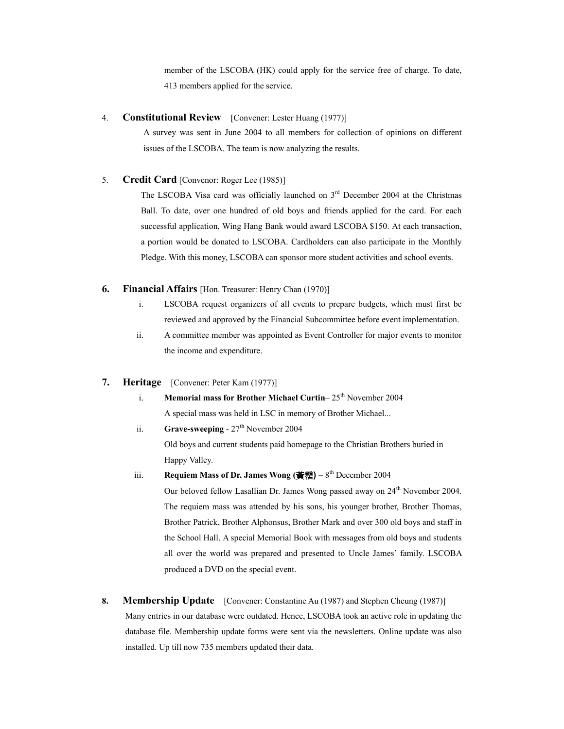member of the LSCOBA (HK) could apply for the service free of charge. To date, 413 members applied for the service.

## 4. **Constitutional Review** [Convener: Lester Huang (1977)]

A survey was sent in June 2004 to all members for collection of opinions on different issues of the LSCOBA. The team is now analyzing the results.

## 5. **Credit Card** [Convenor: Roger Lee (1985)]

The LSCOBA Visa card was officially launched on  $3<sup>rd</sup>$  December 2004 at the Christmas Ball. To date, over one hundred of old boys and friends applied for the card. For each successful application, Wing Hang Bank would award LSCOBA \$150. At each transaction, a portion would be donated to LSCOBA. Cardholders can also participate in the Monthly Pledge. With this money, LSCOBA can sponsor more student activities and school events.

## **6. Financial Affairs** [Hon. Treasurer: Henry Chan (1970)]

- i. LSCOBA request organizers of all events to prepare budgets, which must first be reviewed and approved by the Financial Subcommittee before event implementation.
- ii. A committee member was appointed as Event Controller for major events to monitor the income and expenditure.

#### **7. Heritage** [Convener: Peter Kam (1977)]

i. **Memorial mass for Brother Michael Curtin–25<sup>th</sup> November 2004** A special mass was held in LSC in memory of Brother Michael...

ii. **Grave-sweeping** - 27<sup>th</sup> November 2004 Old boys and current students paid homepage to the Christian Brothers buried in Happy Valley.

## iii. **Requiem Mass of Dr. James Wong (黃霑)** –  $8<sup>th</sup>$  December 2004

Our beloved fellow Lasallian Dr. James Wong passed away on 24<sup>th</sup> November 2004. The requiem mass was attended by his sons, his younger brother, Brother Thomas, Brother Patrick, Brother Alphonsus, Brother Mark and over 300 old boys and staff in the School Hall. A special Memorial Book with messages from old boys and students all over the world was prepared and presented to Uncle James' family. LSCOBA produced a DVD on the special event.

# **8. Membership Update** [Convener: Constantine Au (1987) and Stephen Cheung (1987)] Many entries in our database were outdated. Hence, LSCOBA took an active role in updating the database file. Membership update forms were sent via the newsletters. Online update was also installed. Up till now 735 members updated their data.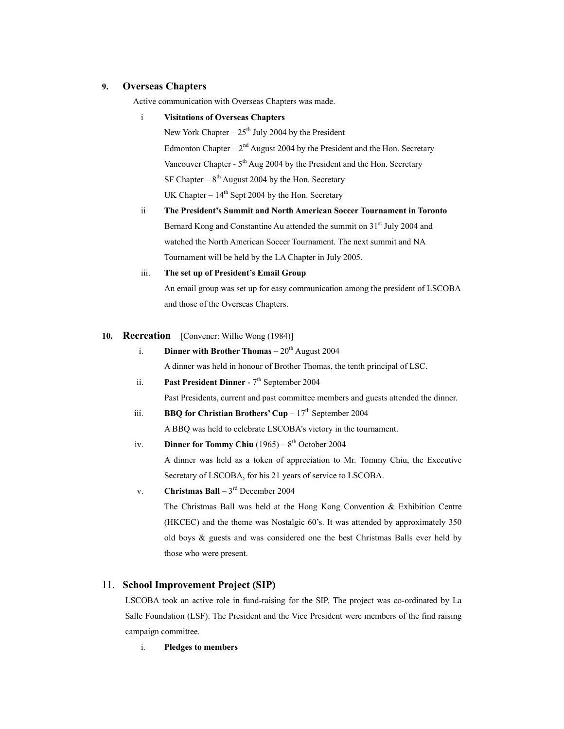## **9. Overseas Chapters**

Active communication with Overseas Chapters was made.

## i **Visitations of Overseas Chapters**

New York Chapter –  $25<sup>th</sup>$  July 2004 by the President Edmonton Chapter –  $2<sup>nd</sup>$  August 2004 by the President and the Hon. Secretary Vancouver Chapter -  $5<sup>th</sup>$  Aug 2004 by the President and the Hon. Secretary SF Chapter –  $8<sup>th</sup>$  August 2004 by the Hon. Secretary UK Chapter –  $14<sup>th</sup>$  Sept 2004 by the Hon. Secretary

ii **The President's Summit and North American Soccer Tournament in Toronto**  Bernard Kong and Constantine Au attended the summit on 31<sup>st</sup> July 2004 and watched the North American Soccer Tournament. The next summit and NA Tournament will be held by the LA Chapter in July 2005.

## iii. **The set up of President's Email Group**

An email group was set up for easy communication among the president of LSCOBA and those of the Overseas Chapters.

### **10. Recreation** [Convener: Willie Wong (1984)]

i. **Dinner with Brother Thomas**  $-20<sup>th</sup>$  August 2004

A dinner was held in honour of Brother Thomas, the tenth principal of LSC.

ii. **Past President Dinner** - 7<sup>th</sup> September 2004

Past Presidents, current and past committee members and guests attended the dinner.

iii. **BBQ for Christian Brothers' Cup** –  $17<sup>th</sup>$  September 2004

A BBQ was held to celebrate LSCOBA's victory in the tournament.

iv. **Dinner for Tommy Chiu**  $(1965) - 8^{th}$  October 2004

A dinner was held as a token of appreciation to Mr. Tommy Chiu, the Executive Secretary of LSCOBA, for his 21 years of service to LSCOBA.

## v. **Christmas Ball –** 3rd December 2004

The Christmas Ball was held at the Hong Kong Convention & Exhibition Centre (HKCEC) and the theme was Nostalgic 60's. It was attended by approximately 350 old boys & guests and was considered one the best Christmas Balls ever held by those who were present.

## 11. **School Improvement Project (SIP)**

LSCOBA took an active role in fund-raising for the SIP. The project was co-ordinated by La Salle Foundation (LSF). The President and the Vice President were members of the find raising campaign committee.

i. **Pledges to members**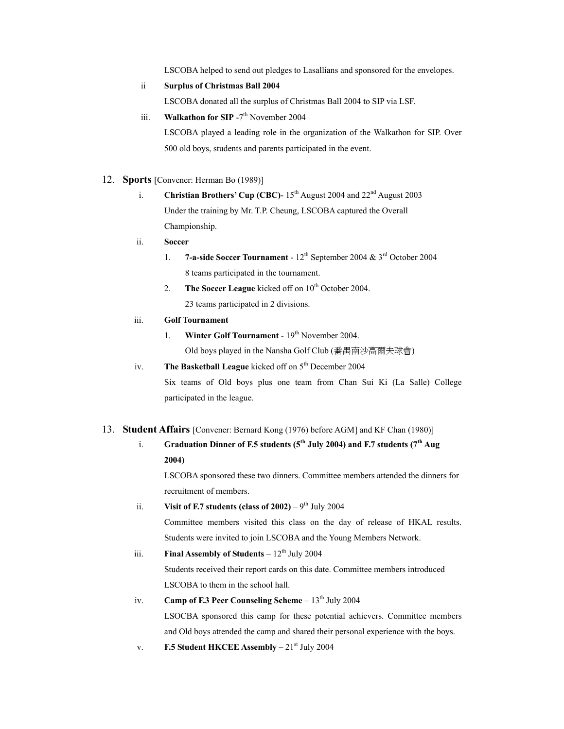LSCOBA helped to send out pledges to Lasallians and sponsored for the envelopes.

ii **Surplus of Christmas Ball 2004**

LSCOBA donated all the surplus of Christmas Ball 2004 to SIP via LSF.

iii. **Walkathon for SIP** -7<sup>th</sup> November 2004

LSCOBA played a leading role in the organization of the Walkathon for SIP. Over 500 old boys, students and parents participated in the event.

- 12. **Sports** [Convener: Herman Bo (1989)]
	- i. **Christian Brothers' Cup (CBC)**  $15<sup>th</sup>$  August 2004 and  $22<sup>nd</sup>$  August 2003 Under the training by Mr. T.P. Cheung, LSCOBA captured the Overall Championship.

## ii. **Soccer**

- 1. **7-a-side Soccer Tournament**  12th September 2004 & 3rd October 2004 8 teams participated in the tournament.
- 2. **The Soccer League** kicked off on 10<sup>th</sup> October 2004. 23 teams participated in 2 divisions.

## iii. **Golf Tournament**

- 1. **Winter Golf Tournament** 19<sup>th</sup> November 2004. Old boys played in the Nansha Golf Club (番禺南沙高爾夫球會)
- iv. **The Basketball League** kicked off on 5<sup>th</sup> December 2004

Six teams of Old boys plus one team from Chan Sui Ki (La Salle) College participated in the league.

## 13. **Student Affairs** [Convener: Bernard Kong (1976) before AGM] and KF Chan (1980)]

# i. **Graduation Dinner of F.5 students (5<sup>th</sup> July 2004) and F.7 students (7<sup>th</sup> Aug 2004)**

LSCOBA sponsored these two dinners. Committee members attended the dinners for recruitment of members.

ii. **Visit of F.7 students (class of**  $2002$ **)** – 9<sup>th</sup> July 2004

Committee members visited this class on the day of release of HKAL results. Students were invited to join LSCOBA and the Young Members Network.

- iii. **Final Assembly of Students**  $-12^{th}$  July 2004 Students received their report cards on this date. Committee members introduced LSCOBA to them in the school hall.
- iv. **Camp of F.3 Peer Counseling Scheme**  $-13<sup>th</sup>$  July 2004 LSOCBA sponsored this camp for these potential achievers. Committee members and Old boys attended the camp and shared their personal experience with the boys.
- v. **F.5 Student HKCEE Assembly** 21<sup>st</sup> July 2004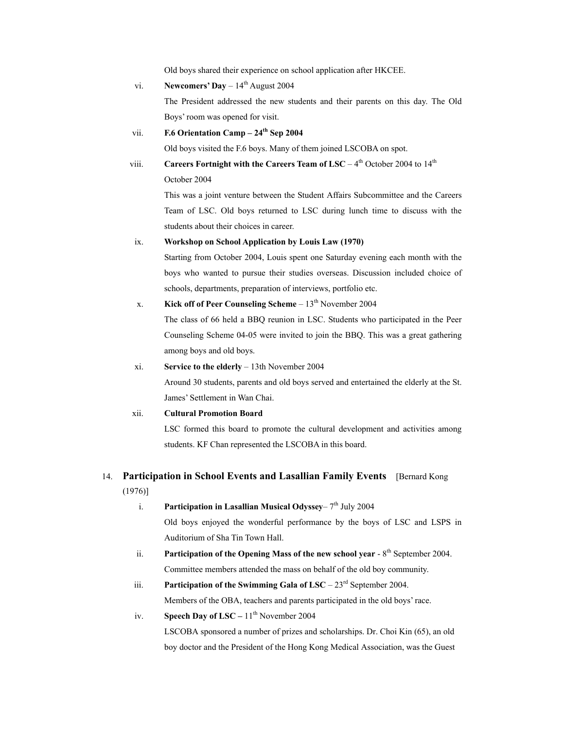Old boys shared their experience on school application after HKCEE.

| vi.   | <b>Newcomers' Day</b> $-14^{\text{th}}$ August 2004                                               |
|-------|---------------------------------------------------------------------------------------------------|
|       | The President addressed the new students and their parents on this day. The Old                   |
|       | Boys' room was opened for visit.                                                                  |
| vii.  | F.6 Orientation Camp $-24$ <sup>th</sup> Sep 2004                                                 |
|       | Old boys visited the F.6 boys. Many of them joined LSCOBA on spot.                                |
| viii. | Careers Fortnight with the Careers Team of LSC - $4^{\text{th}}$ October 2004 to $14^{\text{th}}$ |
|       | October 2004                                                                                      |
|       | This was a joint venture between the Student Affairs Subcommittee and the Careers                 |
|       | Team of LSC. Old boys returned to LSC during lunch time to discuss with the                       |
|       | students about their choices in career.                                                           |
| ix.   | Workshop on School Application by Louis Law (1970)                                                |
|       | Starting from October 2004, Louis spent one Saturday evening each month with the                  |
|       | boys who wanted to pursue their studies overseas. Discussion included choice of                   |
|       | schools, departments, preparation of interviews, portfolio etc.                                   |
| X.    | Kick off of Peer Counseling Scheme $-13th$ November 2004                                          |

The class of 66 held a BBQ reunion in LSC. Students who participated in the Peer Counseling Scheme 04-05 were invited to join the BBQ. This was a great gathering among boys and old boys.

xi. **Service to the elderly** – 13th November 2004

Around 30 students, parents and old boys served and entertained the elderly at the St. James' Settlement in Wan Chai.

#### xii. **Cultural Promotion Board**

LSC formed this board to promote the cultural development and activities among students. KF Chan represented the LSCOBA in this board.

# 14. **Participation in School Events and Lasallian Family Events** [Bernard Kong

## (1976)]

i. **Participation in Lasallian Musical Odyssey**–  $7<sup>th</sup>$  July 2004

Old boys enjoyed the wonderful performance by the boys of LSC and LSPS in Auditorium of Sha Tin Town Hall.

- ii. **Participation of the Opening Mass of the new school year** 8<sup>th</sup> September 2004. Committee members attended the mass on behalf of the old boy community.
- iii. **Participation of the Swimming Gala of LSC**  $23<sup>rd</sup>$  September 2004. Members of the OBA, teachers and parents participated in the old boys' race.
- iv. **Speech Day of LSC**  $11<sup>th</sup>$  November 2004

LSCOBA sponsored a number of prizes and scholarships. Dr. Choi Kin (65), an old boy doctor and the President of the Hong Kong Medical Association, was the Guest